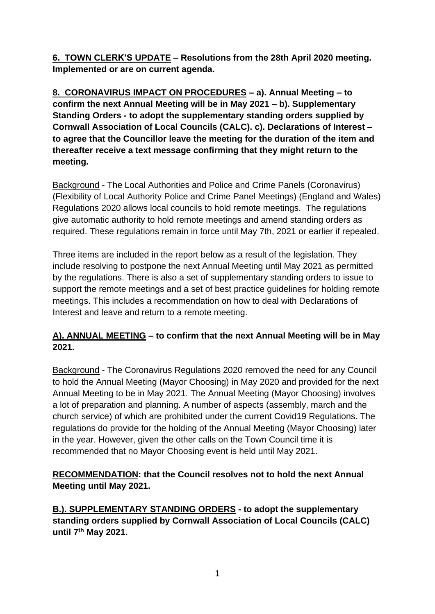**6. TOWN CLERK'S UPDATE – Resolutions from the 28th April 2020 meeting. Implemented or are on current agenda.** 

**8. CORONAVIRUS IMPACT ON PROCEDURES – a). Annual Meeting – to confirm the next Annual Meeting will be in May 2021 – b). Supplementary Standing Orders - to adopt the supplementary standing orders supplied by Cornwall Association of Local Councils (CALC). c). Declarations of Interest – to agree that the Councillor leave the meeting for the duration of the item and thereafter receive a text message confirming that they might return to the meeting.** 

Background - The Local Authorities and Police and Crime Panels (Coronavirus) (Flexibility of Local Authority Police and Crime Panel Meetings) (England and Wales) Regulations 2020 allows local councils to hold remote meetings. The regulations give automatic authority to hold remote meetings and amend standing orders as required. These regulations remain in force until May 7th, 2021 or earlier if repealed.

Three items are included in the report below as a result of the legislation. They include resolving to postpone the next Annual Meeting until May 2021 as permitted by the regulations. There is also a set of supplementary standing orders to issue to support the remote meetings and a set of best practice guidelines for holding remote meetings. This includes a recommendation on how to deal with Declarations of Interest and leave and return to a remote meeting.

## **A). ANNUAL MEETING – to confirm that the next Annual Meeting will be in May 2021.**

Background - The Coronavirus Regulations 2020 removed the need for any Council to hold the Annual Meeting (Mayor Choosing) in May 2020 and provided for the next Annual Meeting to be in May 2021. The Annual Meeting (Mayor Choosing) involves a lot of preparation and planning. A number of aspects (assembly, march and the church service) of which are prohibited under the current Covid19 Regulations. The regulations do provide for the holding of the Annual Meeting (Mayor Choosing) later in the year. However, given the other calls on the Town Council time it is recommended that no Mayor Choosing event is held until May 2021.

**RECOMMENDATION: that the Council resolves not to hold the next Annual Meeting until May 2021.** 

**B.). SUPPLEMENTARY STANDING ORDERS - to adopt the supplementary standing orders supplied by Cornwall Association of Local Councils (CALC) until 7 th May 2021.**